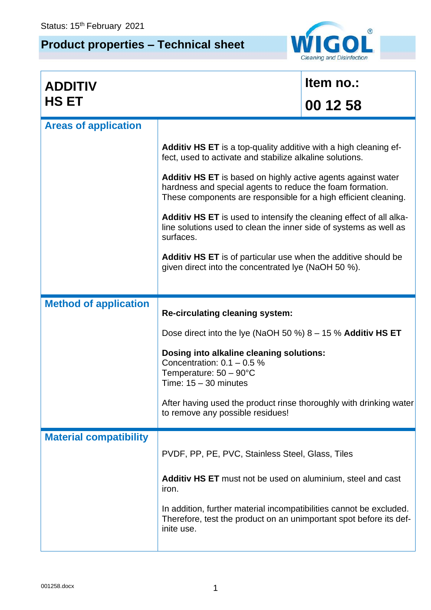## **Product properties – Technical sheet**



| <b>ADDITIV</b>                |                                                                                                                                                                                                     | Item no.: |  |
|-------------------------------|-----------------------------------------------------------------------------------------------------------------------------------------------------------------------------------------------------|-----------|--|
| <b>HS ET</b>                  |                                                                                                                                                                                                     | 00 12 58  |  |
| <b>Areas of application</b>   |                                                                                                                                                                                                     |           |  |
|                               | Additiv HS ET is a top-quality additive with a high cleaning ef-<br>fect, used to activate and stabilize alkaline solutions.                                                                        |           |  |
|                               | <b>Additiv HS ET</b> is based on highly active agents against water<br>hardness and special agents to reduce the foam formation.<br>These components are responsible for a high efficient cleaning. |           |  |
|                               | Additiv HS ET is used to intensify the cleaning effect of all alka-<br>line solutions used to clean the inner side of systems as well as<br>surfaces.                                               |           |  |
|                               | Additiv HS ET is of particular use when the additive should be<br>given direct into the concentrated lye (NaOH 50 %).                                                                               |           |  |
|                               |                                                                                                                                                                                                     |           |  |
| <b>Method of application</b>  | <b>Re-circulating cleaning system:</b>                                                                                                                                                              |           |  |
|                               | Dose direct into the lye (NaOH 50 %) $8 - 15$ % Additiv HS ET                                                                                                                                       |           |  |
|                               | Dosing into alkaline cleaning solutions:<br>Concentration: $0.1 - 0.5$ %<br>Temperature: $50 - 90^{\circ}$ C<br>Time: $15 - 30$ minutes                                                             |           |  |
|                               | After having used the product rinse thoroughly with drinking water<br>to remove any possible residues!                                                                                              |           |  |
| <b>Material compatibility</b> |                                                                                                                                                                                                     |           |  |
|                               | PVDF, PP, PE, PVC, Stainless Steel, Glass, Tiles                                                                                                                                                    |           |  |
|                               | <b>Additiv HS ET</b> must not be used on aluminium, steel and cast<br>iron.                                                                                                                         |           |  |
|                               |                                                                                                                                                                                                     |           |  |